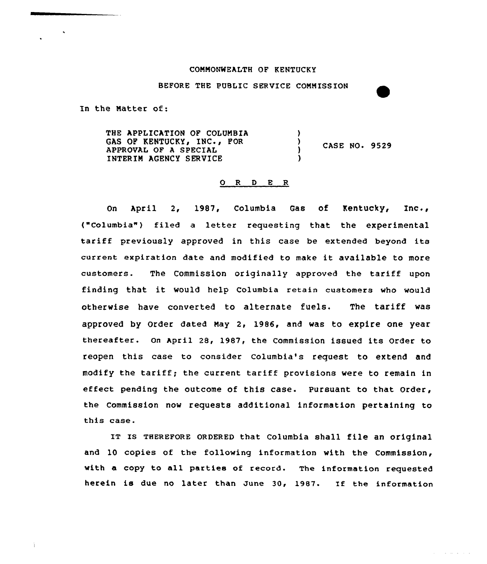## CONNONWEALTH OF KENTUCKY

BEFORE THE PUBLIC SERVICE COMNISSION

In the Natter of:

THE APPLICATION OF COLUNBIA GAS OF KENTUCKY, INC., FOR APPROVAL OF <sup>A</sup> SPECIAL INTERIM AGENCY SERVICE )  $\frac{1}{2}$  CASE NO. 9529 )

## 0 <sup>R</sup> <sup>D</sup> E <sup>R</sup>

On April 2, 1987, Columbia Gas of Kentucky, Inc., ("Columbia") filed a letter requesting that the experimental tariff previously approved in this case be extended beyond its current expiration date and modified to make it available to more customers. The Commission originally approved the tariff upon finding that. it would help Columbia retain customers who would otherwise have converted to alternate fuels. The tariff was approved by Order dated Nay 2, 1986, and was to expire one year thereafter. On April 28, 1987, the Commission issued its Order to reopen this case to consider Columbia's request to extend and modify the tariff; the current tariff provisions were to remain in effect pending the outcome of this case. Pursuant to that Order, the Commission now requests additional information pertaining to this case.

IT IS THEREFORE ORDERED that Columbia shall file an original and 10 copies of the following information with the Commission, with a copy to all parties of record. The information requested herein is due no later than June 30, 1987. If the information

and a subsequent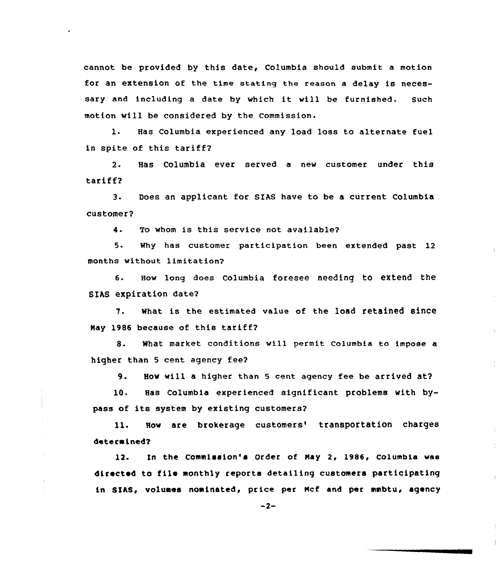cannot be provided by this date, Columbia should submit a motion for an extension of the time stating the reason a delay is necessary and including <sup>a</sup> date by which it will be furnished. Such motion will be considered by the Commission.

1. Has Columbia experienced any load loss to alternate fuel in spite of this tariff?

2. Has Columbia ever served a new customer under this tariff2

3- Does an applicant for SIAS have to be a current Columbia customer?

4. To whom is this service not available2

5. Why has customer participation been extended past 12 months without limitation?

6. How long does Columbia foresee needing to extend the SIAS expiration date2

7. what is the estimated value of the 1oad retained since Nay 1986 because of this tariff?

8. What market conditions will permit columbia to impose <sup>a</sup> higher than 5 cent agency fee2

9. How will <sup>a</sup> higher than <sup>5</sup> cent agency fee be arrived at?

10. Has Columbia experienced significant problems with bypass of its system by existing customers?

11. How are brokerage customers' transportation charges determined?

12. In the Commission's Order of Hay 2, 1985, Columbia was directed to file monthly reports detailing customers participating in SIAS, volumes nominated, price per Ncf and per mmbtu, agency

 $-2-$